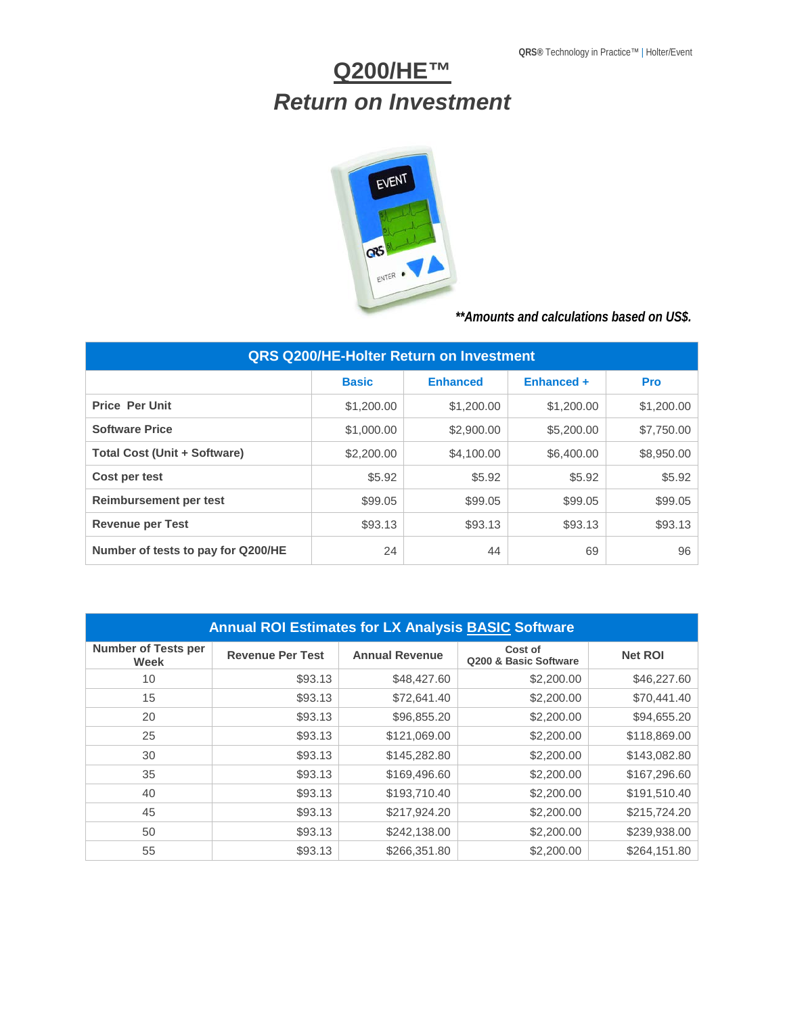## **Q200/HE™** *Return on Investment*



*\*\*Amounts and calculations based on US\$.*

| <b>QRS Q200/HE-Holter Return on Investment</b> |              |                 |            |            |  |
|------------------------------------------------|--------------|-----------------|------------|------------|--|
|                                                | <b>Basic</b> | <b>Enhanced</b> | Enhanced + | <b>Pro</b> |  |
| <b>Price Per Unit</b>                          | \$1,200.00   | \$1,200.00      | \$1,200.00 | \$1,200.00 |  |
| <b>Software Price</b>                          | \$1,000.00   | \$2,900.00      | \$5,200.00 | \$7,750.00 |  |
| <b>Total Cost (Unit + Software)</b>            | \$2,200.00   | \$4,100.00      | \$6,400.00 | \$8,950.00 |  |
| Cost per test                                  | \$5.92       | \$5.92          | \$5.92     | \$5.92     |  |
| Reimbursement per test                         | \$99.05      | \$99.05         | \$99.05    | \$99.05    |  |
| <b>Revenue per Test</b>                        | \$93.13      | \$93.13         | \$93.13    | \$93.13    |  |
| Number of tests to pay for Q200/HE             | 24           | 44              | 69         | 96         |  |

| <b>Annual ROI Estimates for LX Analysis BASIC Software</b> |                         |                       |                                  |                |  |
|------------------------------------------------------------|-------------------------|-----------------------|----------------------------------|----------------|--|
| <b>Number of Tests per</b><br>Week                         | <b>Revenue Per Test</b> | <b>Annual Revenue</b> | Cost of<br>Q200 & Basic Software | <b>Net ROI</b> |  |
| 10                                                         | \$93.13                 | \$48,427.60           | \$2,200.00                       | \$46,227.60    |  |
| 15                                                         | \$93.13                 | \$72,641.40           | \$2,200.00                       | \$70,441.40    |  |
| 20                                                         | \$93.13                 | \$96,855.20           | \$2,200.00                       | \$94,655.20    |  |
| 25                                                         | \$93.13                 | \$121,069.00          | \$2,200.00                       | \$118,869.00   |  |
| 30                                                         | \$93.13                 | \$145,282.80          | \$2,200.00                       | \$143,082.80   |  |
| 35                                                         | \$93.13                 | \$169,496.60          | \$2,200.00                       | \$167,296.60   |  |
| 40                                                         | \$93.13                 | \$193,710.40          | \$2,200.00                       | \$191,510.40   |  |
| 45                                                         | \$93.13                 | \$217,924.20          | \$2,200.00                       | \$215,724.20   |  |
| 50                                                         | \$93.13                 | \$242,138.00          | \$2,200.00                       | \$239,938.00   |  |
| 55                                                         | \$93.13                 | \$266,351.80          | \$2,200.00                       | \$264,151.80   |  |